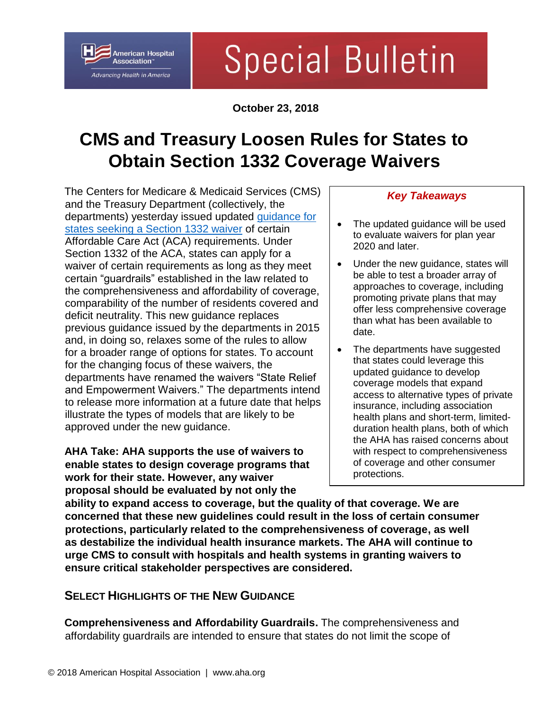# **Special Bulletin**

**October 23, 2018**

# **CMS and Treasury Loosen Rules for States to Obtain Section 1332 Coverage Waivers**

The Centers for Medicare & Medicaid Services (CMS) and the Treasury Department (collectively, the departments) yesterday issued updated [guidance for](https://s3.amazonaws.com/public-inspection.federalregister.gov/2018-23182.pdf)  [states seeking a Section 1332 waiver](https://s3.amazonaws.com/public-inspection.federalregister.gov/2018-23182.pdf) of certain Affordable Care Act (ACA) requirements. Under Section 1332 of the ACA, states can apply for a waiver of certain requirements as long as they meet certain "guardrails" established in the law related to the comprehensiveness and affordability of coverage, comparability of the number of residents covered and deficit neutrality. This new guidance replaces previous guidance issued by the departments in 2015 and, in doing so, relaxes some of the rules to allow for a broader range of options for states. To account for the changing focus of these waivers, the departments have renamed the waivers "State Relief and Empowerment Waivers." The departments intend to release more information at a future date that helps illustrate the types of models that are likely to be approved under the new guidance.

**American Hospital** Association<sup>®</sup> Advancing Health in America

**AHA Take: AHA supports the use of waivers to enable states to design coverage programs that work for their state. However, any waiver proposal should be evaluated by not only the** 

#### *Key Takeaways*

- The updated guidance will be used to evaluate waivers for plan year 2020 and later.
- Under the new guidance, states will be able to test a broader array of approaches to coverage, including promoting private plans that may offer less comprehensive coverage than what has been available to date.
- The departments have suggested that states could leverage this updated guidance to develop coverage models that expand access to alternative types of private insurance, including association health plans and short-term, limitedduration health plans, both of which the AHA has raised concerns about with respect to comprehensiveness of coverage and other consumer protections.

**ability to expand access to coverage, but the quality of that coverage. We are concerned that these new guidelines could result in the loss of certain consumer protections, particularly related to the comprehensiveness of coverage, as well as destabilize the individual health insurance markets. The AHA will continue to urge CMS to consult with hospitals and health systems in granting waivers to ensure critical stakeholder perspectives are considered.**

## **SELECT HIGHLIGHTS OF THE NEW GUIDANCE**

**Comprehensiveness and Affordability Guardrails.** The comprehensiveness and affordability guardrails are intended to ensure that states do not limit the scope of